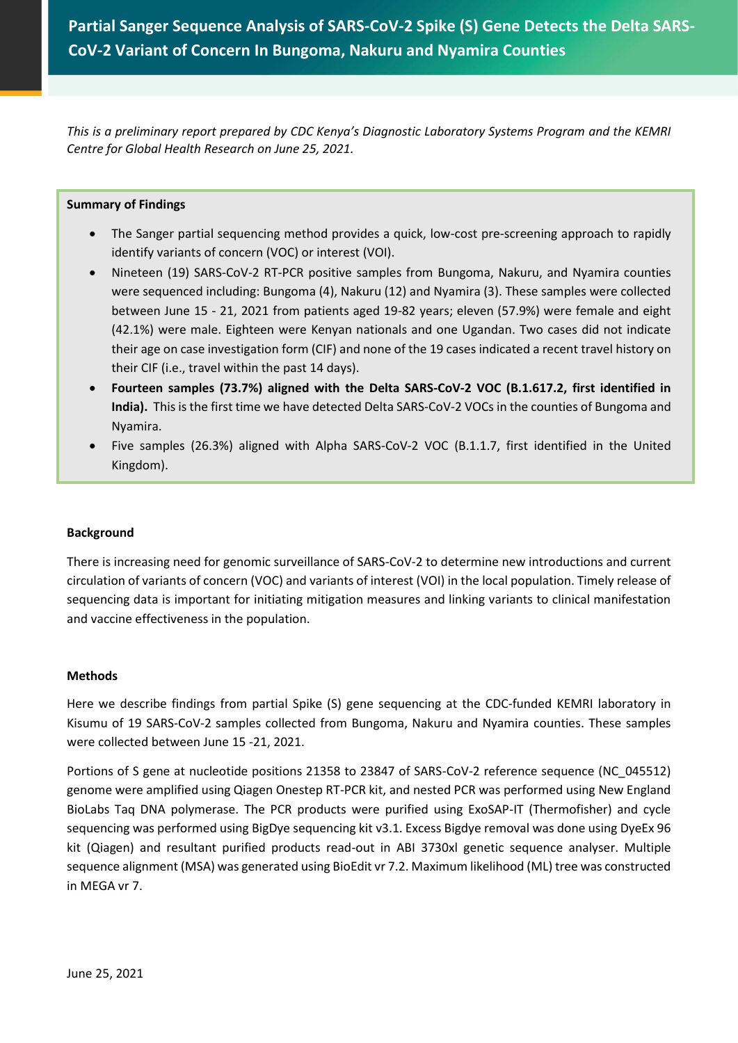**Partial Sanger Sequence Analysis of SARS-CoV-2 Spike (S) Gene Detects the Delta SARS-CoV-2 Variant of Concern In Bungoma, Nakuru and Nyamira Counties**

*This is a preliminary report prepared by CDC Kenya's Diagnostic Laboratory Systems Program and the KEMRI Centre for Global Health Research on June 25, 2021.*

#### **Summary of Findings**

- The Sanger partial sequencing method provides a quick, low-cost pre-screening approach to rapidly identify variants of concern (VOC) or interest (VOI).
- Nineteen (19) SARS-CoV-2 RT-PCR positive samples from Bungoma, Nakuru, and Nyamira counties were sequenced including: Bungoma (4), Nakuru (12) and Nyamira (3). These samples were collected between June 15 - 21, 2021 from patients aged 19-82 years; eleven (57.9%) were female and eight (42.1%) were male. Eighteen were Kenyan nationals and one Ugandan. Two cases did not indicate their age on case investigation form (CIF) and none of the 19 cases indicated a recent travel history on their CIF (i.e., travel within the past 14 days).
- **Fourteen samples (73.7%) aligned with the Delta SARS-CoV-2 VOC (B.1.617.2, first identified in India).** This is the first time we have detected Delta SARS-CoV-2 VOCs in the counties of Bungoma and Nyamira.
- Five samples (26.3%) aligned with Alpha SARS-CoV-2 VOC (B.1.1.7, first identified in the United Kingdom).

## **Background**

There is increasing need for genomic surveillance of SARS-CoV-2 to determine new introductions and current circulation of variants of concern (VOC) and variants of interest (VOI) in the local population. Timely release of sequencing data is important for initiating mitigation measures and linking variants to clinical manifestation and vaccine effectiveness in the population.

#### **Methods**

Here we describe findings from partial Spike (S) gene sequencing at the CDC-funded KEMRI laboratory in Kisumu of 19 SARS-CoV-2 samples collected from Bungoma, Nakuru and Nyamira counties. These samples were collected between June 15 -21, 2021.

Portions of S gene at nucleotide positions 21358 to 23847 of SARS-CoV-2 reference sequence (NC\_045512) genome were amplified using Qiagen Onestep RT-PCR kit, and nested PCR was performed using New England BioLabs Taq DNA polymerase. The PCR products were purified using ExoSAP-IT (Thermofisher) and cycle sequencing was performed using BigDye sequencing kit v3.1. Excess Bigdye removal was done using DyeEx 96 kit (Qiagen) and resultant purified products read-out in ABI 3730xl genetic sequence analyser. Multiple sequence alignment (MSA) was generated using BioEdit vr 7.2. Maximum likelihood (ML) tree was constructed in MEGA vr 7.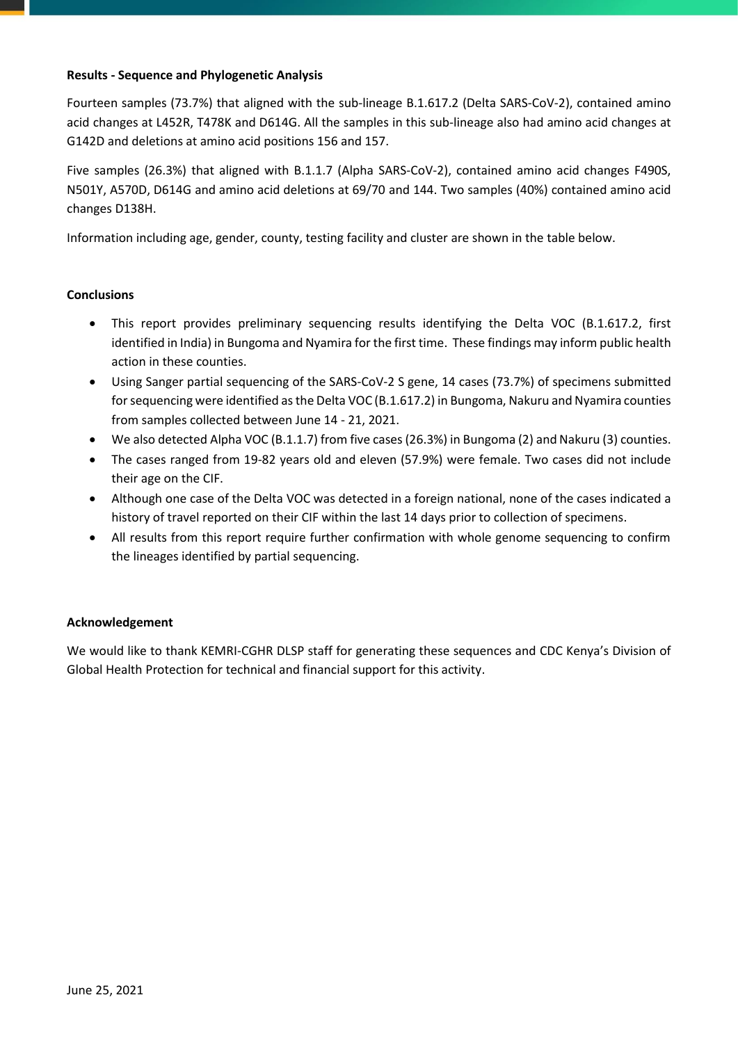## **Results - Sequence and Phylogenetic Analysis**

Fourteen samples (73.7%) that aligned with the sub-lineage B.1.617.2 (Delta SARS-CoV-2), contained amino acid changes at L452R, T478K and D614G. All the samples in this sub-lineage also had amino acid changes at G142D and deletions at amino acid positions 156 and 157.

Five samples (26.3%) that aligned with B.1.1.7 (Alpha SARS-CoV-2), contained amino acid changes F490S, N501Y, A570D, D614G and amino acid deletions at 69/70 and 144. Two samples (40%) contained amino acid changes D138H.

Information including age, gender, county, testing facility and cluster are shown in the table below.

## **Conclusions**

- This report provides preliminary sequencing results identifying the Delta VOC (B.1.617.2, first identified in India) in Bungoma and Nyamira for the first time. These findings may inform public health action in these counties.
- Using Sanger partial sequencing of the SARS-CoV-2 S gene, 14 cases (73.7%) of specimens submitted for sequencing were identified as the Delta VOC (B.1.617.2) in Bungoma, Nakuru and Nyamira counties from samples collected between June 14 - 21, 2021.
- We also detected Alpha VOC (B.1.1.7) from five cases (26.3%) in Bungoma (2) and Nakuru (3) counties.
- The cases ranged from 19-82 years old and eleven (57.9%) were female. Two cases did not include their age on the CIF.
- Although one case of the Delta VOC was detected in a foreign national, none of the cases indicated a history of travel reported on their CIF within the last 14 days prior to collection of specimens.
- All results from this report require further confirmation with whole genome sequencing to confirm the lineages identified by partial sequencing.

## **Acknowledgement**

We would like to thank KEMRI-CGHR DLSP staff for generating these sequences and CDC Kenya's Division of Global Health Protection for technical and financial support for this activity.